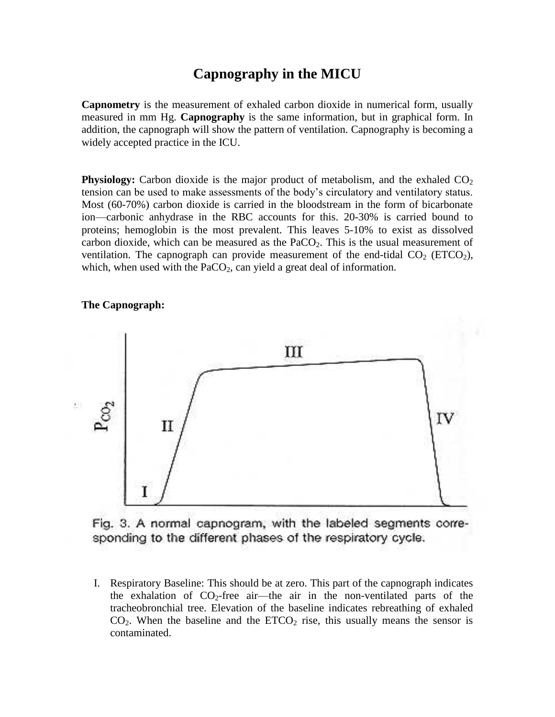### **Capnography in the MICU**

**Capnometry** is the measurement of exhaled carbon dioxide in numerical form, usually measured in mm Hg. **Capnography** is the same information, but in graphical form. In addition, the capnograph will show the pattern of ventilation. Capnography is becoming a widely accepted practice in the ICU.

**Physiology:** Carbon dioxide is the major product of metabolism, and the exhaled  $CO<sub>2</sub>$ tension can be used to make assessments of the body's circulatory and ventilatory status. Most (60-70%) carbon dioxide is carried in the bloodstream in the form of bicarbonate ion—carbonic anhydrase in the RBC accounts for this. 20-30% is carried bound to proteins; hemoglobin is the most prevalent. This leaves 5-10% to exist as dissolved carbon dioxide, which can be measured as the  $PaCO<sub>2</sub>$ . This is the usual measurement of ventilation. The capnograph can provide measurement of the end-tidal  $CO<sub>2</sub>$  (ETCO<sub>2</sub>), which, when used with the  $PaCO<sub>2</sub>$ , can yield a great deal of information.

#### **The Capnograph:**



Fig. 3. A normal capnogram, with the labeled segments corresponding to the different phases of the respiratory cycle.

I. Respiratory Baseline: This should be at zero. This part of the capnograph indicates the exhalation of  $CO_2$ -free air—the air in the non-ventilated parts of the tracheobronchial tree. Elevation of the baseline indicates rebreathing of exhaled  $CO<sub>2</sub>$ . When the baseline and the  $ETCO<sub>2</sub>$  rise, this usually means the sensor is contaminated.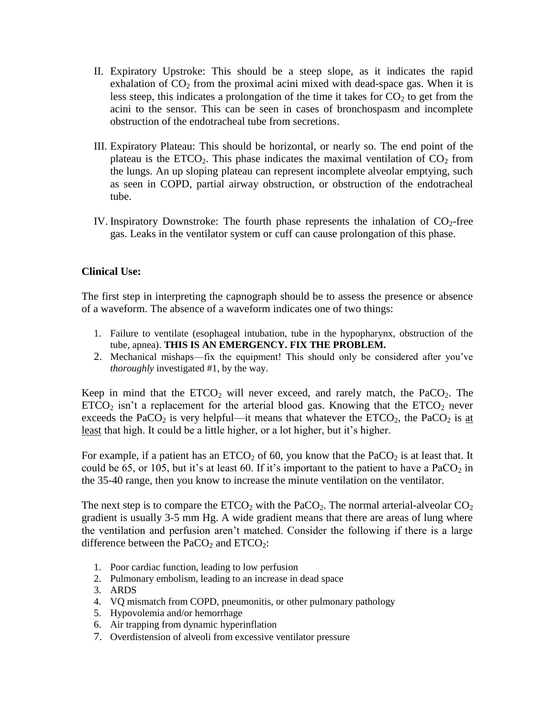- II. Expiratory Upstroke: This should be a steep slope, as it indicates the rapid exhalation of  $CO<sub>2</sub>$  from the proximal acini mixed with dead-space gas. When it is less steep, this indicates a prolongation of the time it takes for  $CO<sub>2</sub>$  to get from the acini to the sensor. This can be seen in cases of bronchospasm and incomplete obstruction of the endotracheal tube from secretions.
- III. Expiratory Plateau: This should be horizontal, or nearly so. The end point of the plateau is the ETCO<sub>2</sub>. This phase indicates the maximal ventilation of  $CO<sub>2</sub>$  from the lungs. An up sloping plateau can represent incomplete alveolar emptying, such as seen in COPD, partial airway obstruction, or obstruction of the endotracheal tube.
- IV. Inspiratory Downstroke: The fourth phase represents the inhalation of  $CO<sub>2</sub>$ -free gas. Leaks in the ventilator system or cuff can cause prolongation of this phase.

#### **Clinical Use:**

The first step in interpreting the capnograph should be to assess the presence or absence of a waveform. The absence of a waveform indicates one of two things:

- 1. Failure to ventilate (esophageal intubation, tube in the hypopharynx, obstruction of the tube, apnea). **THIS IS AN EMERGENCY. FIX THE PROBLEM.**
- 2. Mechanical mishaps—fix the equipment! This should only be considered after you've *thoroughly* investigated #1, by the way.

Keep in mind that the  $ETCO<sub>2</sub>$  will never exceed, and rarely match, the PaCO<sub>2</sub>. The  $ETCO<sub>2</sub>$  isn't a replacement for the arterial blood gas. Knowing that the  $ETCO<sub>2</sub>$  never exceeds the PaCO<sub>2</sub> is very helpful—it means that whatever the ETCO<sub>2</sub>, the PaCO<sub>2</sub> is at least that high. It could be a little higher, or a lot higher, but it's higher.

For example, if a patient has an  $ETCO<sub>2</sub>$  of 60, you know that the PaCO<sub>2</sub> is at least that. It could be 65, or 105, but it's at least 60. If it's important to the patient to have a  $PaCO<sub>2</sub>$  in the 35-40 range, then you know to increase the minute ventilation on the ventilator.

The next step is to compare the  $ETCO<sub>2</sub>$  with the PaCO<sub>2</sub>. The normal arterial-alveolar  $CO<sub>2</sub>$ gradient is usually 3-5 mm Hg. A wide gradient means that there are areas of lung where the ventilation and perfusion aren't matched. Consider the following if there is a large difference between the  $PaCO<sub>2</sub>$  and  $ETCO<sub>2</sub>$ :

- 1. Poor cardiac function, leading to low perfusion
- 2. Pulmonary embolism, leading to an increase in dead space
- 3. ARDS
- 4. VQ mismatch from COPD, pneumonitis, or other pulmonary pathology
- 5. Hypovolemia and/or hemorrhage
- 6. Air trapping from dynamic hyperinflation
- 7. Overdistension of alveoli from excessive ventilator pressure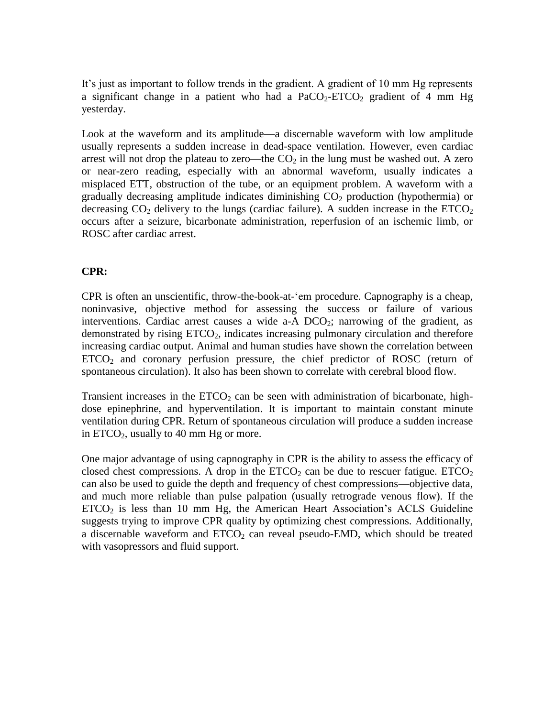It's just as important to follow trends in the gradient. A gradient of 10 mm Hg represents a significant change in a patient who had a  $PaCO<sub>2</sub>-ETCO<sub>2</sub>$  gradient of 4 mm Hg yesterday.

Look at the waveform and its amplitude—a discernable waveform with low amplitude usually represents a sudden increase in dead-space ventilation. However, even cardiac arrest will not drop the plateau to zero—the  $CO<sub>2</sub>$  in the lung must be washed out. A zero or near-zero reading, especially with an abnormal waveform, usually indicates a misplaced ETT, obstruction of the tube, or an equipment problem. A waveform with a gradually decreasing amplitude indicates diminishing  $CO<sub>2</sub>$  production (hypothermia) or decreasing  $CO_2$  delivery to the lungs (cardiac failure). A sudden increase in the  $ETCO_2$ occurs after a seizure, bicarbonate administration, reperfusion of an ischemic limb, or ROSC after cardiac arrest.

#### **CPR:**

CPR is often an unscientific, throw-the-book-at-'em procedure. Capnography is a cheap, noninvasive, objective method for assessing the success or failure of various interventions. Cardiac arrest causes a wide  $a-A$  DCO<sub>2</sub>; narrowing of the gradient, as demonstrated by rising  $ETCO<sub>2</sub>$ , indicates increasing pulmonary circulation and therefore increasing cardiac output. Animal and human studies have shown the correlation between ETCO<sup>2</sup> and coronary perfusion pressure, the chief predictor of ROSC (return of spontaneous circulation). It also has been shown to correlate with cerebral blood flow.

Transient increases in the  $ETCO<sub>2</sub>$  can be seen with administration of bicarbonate, highdose epinephrine, and hyperventilation. It is important to maintain constant minute ventilation during CPR. Return of spontaneous circulation will produce a sudden increase in  $ETCO<sub>2</sub>$ , usually to 40 mm Hg or more.

One major advantage of using capnography in CPR is the ability to assess the efficacy of closed chest compressions. A drop in the  $ETCO<sub>2</sub>$  can be due to rescuer fatigue.  $ETCO<sub>2</sub>$ can also be used to guide the depth and frequency of chest compressions—objective data, and much more reliable than pulse palpation (usually retrograde venous flow). If the  $ETCO<sub>2</sub>$  is less than 10 mm Hg, the American Heart Association's ACLS Guideline suggests trying to improve CPR quality by optimizing chest compressions. Additionally, a discernable waveform and  $ETCO<sub>2</sub>$  can reveal pseudo-EMD, which should be treated with vasopressors and fluid support.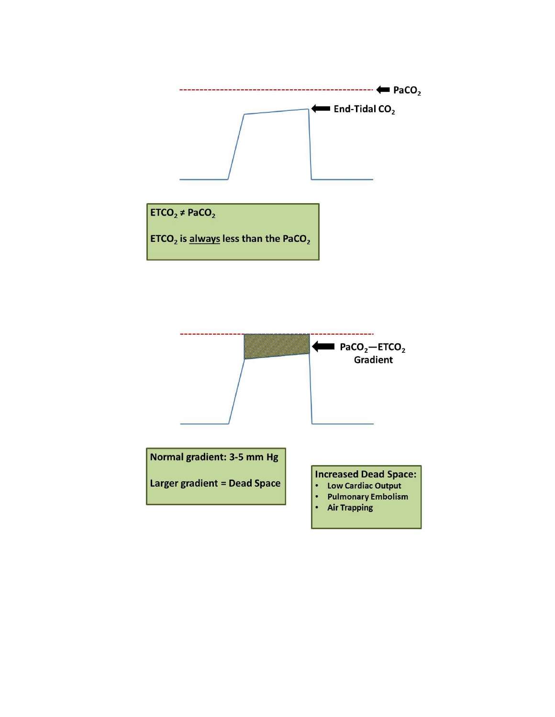

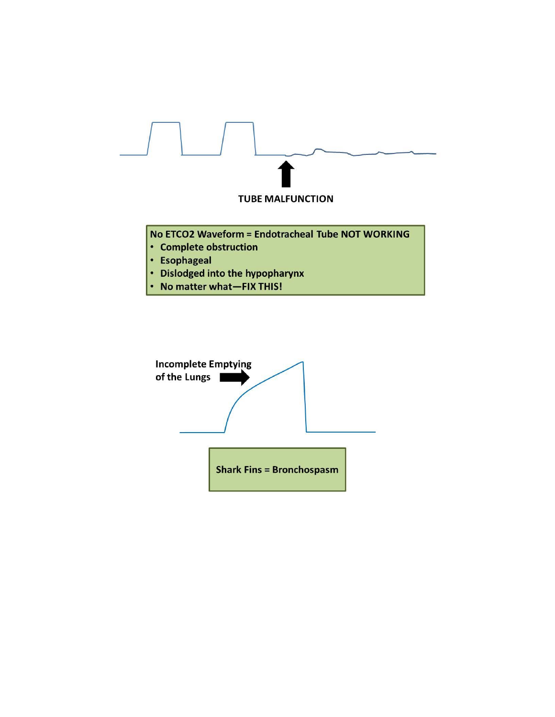